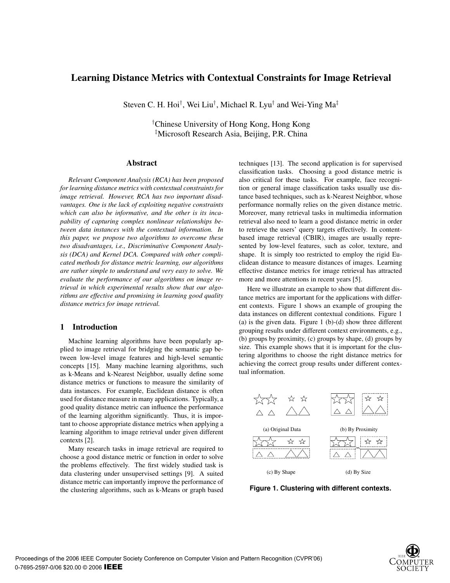# **Learning Distance Metrics with Contextual Constraints for Image Retrieval**

Steven C. H. Hoi<sup>†</sup>, Wei Liu<sup>†</sup>, Michael R. Lyu<sup>†</sup> and Wei-Ying Ma<sup>‡</sup>

† Chinese University of Hong Kong, Hong Kong ‡ Microsoft Research Asia, Beijing, P.R. China

## **Abstract**

*Relevant Component Analysis (RCA) has been proposed for learning distance metrics with contextual constraints for image retrieval. However, RCA has two important disadvantages. One is the lack of exploiting negative constraints which can also be informative, and the other is its incapability of capturing complex nonlinear relationships between data instances with the contextual information. In this paper, we propose two algorithms to overcome these two disadvantages, i.e., Discriminative Component Analysis (DCA) and Kernel DCA. Compared with other complicated methods for distance metric learning, our algorithms are rather simple to understand and very easy to solve. We evaluate the performance of our algorithms on image retrieval in which experimental results show that our algorithms are effective and promising in learning good quality distance metrics for image retrieval.*

## **1 Introduction**

Machine learning algorithms have been popularly applied to image retrieval for bridging the semantic gap between low-level image features and high-level semantic concepts [15]. Many machine learning algorithms, such as k-Means and k-Nearest Neighbor, usually define some distance metrics or functions to measure the similarity of data instances. For example, Euclidean distance is often used for distance measure in many applications. Typically, a good quality distance metric can influence the performance of the learning algorithm significantly. Thus, it is important to choose appropriate distance metrics when applying a learning algorithm to image retrieval under given different contexts [2].

Many research tasks in image retrieval are required to choose a good distance metric or function in order to solve the problems effectively. The first widely studied task is data clustering under unsupervised settings [9]. A suited distance metric can importantly improve the performance of the clustering algorithms, such as k-Means or graph based techniques [13]. The second application is for supervised classification tasks. Choosing a good distance metric is also critical for these tasks. For example, face recognition or general image classification tasks usually use distance based techniques, such as k-Nearest Neighbor, whose performance normally relies on the given distance metric. Moreover, many retrieval tasks in multimedia information retrieval also need to learn a good distance metric in order to retrieve the users' query targets effectively. In contentbased image retrieval (CBIR), images are usually represented by low-level features, such as color, texture, and shape. It is simply too restricted to employ the rigid Euclidean distance to measure distances of images. Learning effective distance metrics for image retrieval has attracted more and more attentions in recent years [5].

Here we illustrate an example to show that different distance metrics are important for the applications with different contexts. Figure 1 shows an example of grouping the data instances on different contextual conditions. Figure 1 (a) is the given data. Figure 1 (b)-(d) show three different grouping results under different context environments, e.g., (b) groups by proximity, (c) groups by shape, (d) groups by size. This example shows that it is important for the clustering algorithms to choose the right distance metrics for achieving the correct group results under different contextual information.



**Figure 1. Clustering with different contexts.**

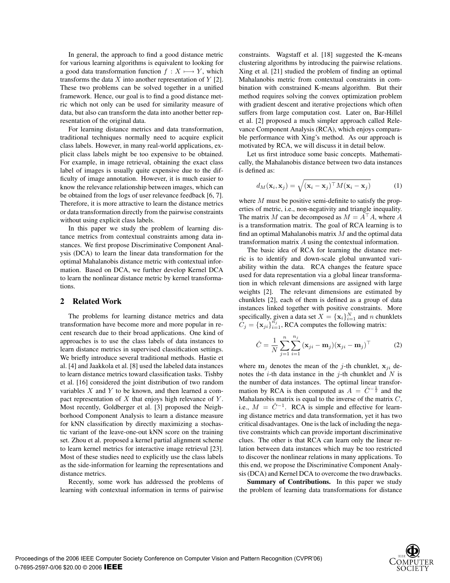In general, the approach to find a good distance metric for various learning algorithms is equivalent to looking for a good data transformation function  $f : X \mapsto Y$ , which<br>transforms the data X into another representation of V [2] transforms the data X into another representation of  $Y$  [2]. These two problems can be solved together in a unified framework. Hence, our goal is to find a good distance metric which not only can be used for similarity measure of data, but also can transform the data into another better representation of the original data.

For learning distance metrics and data transformation, traditional techniques normally need to acquire explicit class labels. However, in many real-world applications, explicit class labels might be too expensive to be obtained. For example, in image retrieval, obtaining the exact class label of images is usually quite expensive due to the difficulty of image annotation. However, it is much easier to know the relevance relationship between images, which can be obtained from the logs of user relevance feedback [6, 7]. Therefore, it is more attractive to learn the distance metrics or data transformation directly from the pairwise constraints without using explicit class labels.

In this paper we study the problem of learning distance metrics from contextual constraints among data instances. We first propose Discriminative Component Analysis (DCA) to learn the linear data transformation for the optimal Mahalanobis distance metric with contextual information. Based on DCA, we further develop Kernel DCA to learn the nonlinear distance metric by kernel transformations.

## **2 Related Work**

The problems for learning distance metrics and data transformation have become more and more popular in recent research due to their broad applications. One kind of approaches is to use the class labels of data instances to learn distance metrics in supervised classification settings. We briefly introduce several traditional methods. Hastie et al. [4] and Jaakkola et al. [8] used the labeled data instances to learn distance metrics toward classification tasks. Tishby et al. [16] considered the joint distribution of two random variables  $X$  and  $Y$  to be known, and then learned a compact representation of  $X$  that enjoys high relevance of  $Y$ . Most recently, Goldberger et al. [3] proposed the Neighborhood Component Analysis to learn a distance measure for kNN classification by directly maximizing a stochastic variant of the leave-one-out kNN score on the training set. Zhou et al. proposed a kernel partial alignment scheme to learn kernel metrics for interactive image retrieval [23]. Most of these studies need to explicitly use the class labels as the side-information for learning the representations and distance metrics.

Recently, some work has addressed the problems of learning with contextual information in terms of pairwise

constraints. Wagstaff et al. [18] suggested the K-means clustering algorithms by introducing the pairwise relations. Xing et al. [21] studied the problem of finding an optimal Mahalanobis metric from contextual constraints in combination with constrained K-means algorithm. But their method requires solving the convex optimization problem with gradient descent and iterative projections which often suffers from large computation cost. Later on, Bar-Hillel et al. [2] proposed a much simpler approach called Relevance Component Analysis (RCA), which enjoys comparable performance with Xing's method. As our approach is motivated by RCA, we will discuss it in detail below.

Let us first introduce some basic concepts. Mathematically, the Mahalanobis distance between two data instances is defined as:

$$
d_M(\mathbf{x}_i, \mathbf{x}_j) = \sqrt{(\mathbf{x}_i - \mathbf{x}_j)^\top M (\mathbf{x}_i - \mathbf{x}_j)}
$$
(1)

where  $M$  must be positive semi-definite to satisfy the properties of metric, i.e., non-negativity and triangle inequality. The matrix M can be decomposed as  $M = A^{\top} A$ , where A is a transformation matrix. The goal of RCA learning is to is a transformation matrix. The goal of RCA learning is to find an optimal Mahalanobis matrix  $M$  and the optimal data transformation matrix A using the contextual information.

The basic idea of RCA for learning the distance metric is to identify and down-scale global unwanted variability within the data. RCA changes the feature space used for data representation via a global linear transformation in which relevant dimensions are assigned with large weights [2]. The relevant dimensions are estimated by chunklets [2], each of them is defined as a group of data instances linked together with positive constraints. More specifically, given a data set  $X = {\mathbf{x}_i}_{i=1}^N$  and *n* chunklets<br> $C_i = J \mathbf{x}_i \mathbf{x}_i^T$  BCA computes the following matrix:  $\hat{C}_j = {\mathbf{x}_{ji}}_{i=1}^{n_j}$ , RCA computes the following matrix:

$$
\hat{C} = \frac{1}{N} \sum_{j=1}^{n} \sum_{i=1}^{n_j} (\mathbf{x}_{ji} - \mathbf{m}_j)(\mathbf{x}_{ji} - \mathbf{m}_j)^{\top}
$$
(2)

where  $\mathbf{m}_i$  denotes the mean of the j-th chunklet,  $\mathbf{x}_{ii}$  denotes the  $i$ -th data instance in the  $j$ -th chunklet and  $N$  is the number of data instances. The optimal linear transformation by RCA is then computed as  $A = \hat{C}^{-\frac{1}{2}}$  and the Mahalanobis matrix is equal to the inverse of the matrix  $C$ Mahalanobis matrix is equal to the inverse of the matrix  $C$ , i.e.,  $M = \hat{C}^{-1}$ . RCA is simple and effective for learning distance metrics and data transformation, yet it has two critical disadvantages. One is the lack of including the negative constraints which can provide important discriminative clues. The other is that RCA can learn only the linear relation between data instances which may be too restricted to discover the nonlinear relations in many applications. To this end, we propose the Discriminative Component Analysis (DCA) and Kernel DCA to overcome the two drawbacks.

**Summary of Contributions.** In this paper we study the problem of learning data transformations for distance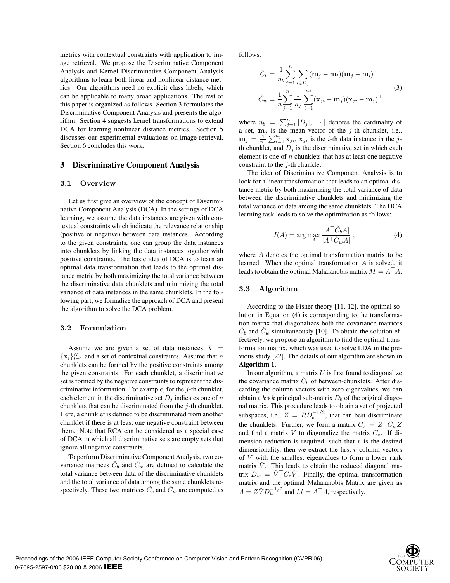metrics with contextual constraints with application to image retrieval. We propose the Discriminative Component Analysis and Kernel Discriminative Component Analysis algorithms to learn both linear and nonlinear distance metrics. Our algorithms need no explicit class labels, which can be applicable to many broad applications. The rest of this paper is organized as follows. Section 3 formulates the Discriminative Component Analysis and presents the algorithm. Section 4 suggests kernel transformations to extend DCA for learning nonlinear distance metrics. Section 5 discusses our experimental evaluations on image retrieval. Section 6 concludes this work.

### **3 Discriminative Component Analysis**

### **3.1 Overview**

Let us first give an overview of the concept of Discriminative Component Analysis (DCA). In the settings of DCA learning, we assume the data instances are given with contextual constraints which indicate the relevance relationship (positive or negative) between data instances. According to the given constraints, one can group the data instances into chunklets by linking the data instances together with positive constraints. The basic idea of DCA is to learn an optimal data transformation that leads to the optimal distance metric by both maximizing the total variance between the discriminative data chunklets and minimizing the total variance of data instances in the same chunklets. In the following part, we formalize the approach of DCA and present the algorithm to solve the DCA problem.

### **3.2 Formulation**

Assume we are given a set of data instances  $X =$  ${\mathbf x}_i\}_{i=1}^N$  and a set of contextual constraints. Assume that n chunklets can be formed by the positive constraints among the given constraints. For each chunklet, a discriminative set is formed by the negative constraints to represent the discriminative information. For example, for the  $j$ -th chunklet, each element in the discriminative set  $D_i$  indicates one of n chunklets that can be discriminated from the  $i$ -th chunklet. Here, a chunklet is defined to be discriminated from another chunklet if there is at least one negative constraint between them. Note that RCA can be considered as a special case of DCA in which all discriminative sets are empty sets that ignore all negative constraints.

To perform Discriminative Component Analysis, two covariance matrices  $\hat{C}_b$  and  $\hat{C}_w$  are defined to calculate the total variance between data of the discriminative chunklets and the total variance of data among the same chunklets respectively. These two matrices  $\hat{C}_b$  and  $\hat{C}_w$  are computed as follows:

$$
\hat{C}_b = \frac{1}{n_b} \sum_{j=1}^n \sum_{i \in D_j} (\mathbf{m}_j - \mathbf{m}_i) (\mathbf{m}_j - \mathbf{m}_i)^\top \n\hat{C}_w = \frac{1}{n} \sum_{j=1}^n \frac{1}{n_j} \sum_{i=1}^{n_j} (\mathbf{x}_{ji} - \mathbf{m}_j) (\mathbf{x}_{ji} - \mathbf{m}_j)^\top
$$
\n(3)

where  $n_b = \sum_{j=1}^{n} |D_j|, |\cdot|$  denotes the cardinality of a set,  $\mathbf{m}_j$  is the mean vector of the j-th chunklet, i.e.,  $\mathbf{m}_j = \frac{1}{n_j} \sum_{i=1}^{n_j} \mathbf{x}_{ji}$ ,  $\mathbf{x}_{ji}$  is the *i*-th data instance in the jth chunklet, and  $D_i$  is the discriminative set in which each element is one of  $n$  chunklets that has at least one negative constraint to the j-th chunklet.

The idea of Discriminative Component Analysis is to look for a linear transformation that leads to an optimal distance metric by both maximizing the total variance of data between the discriminative chunklets and minimizing the total variance of data among the same chunklets. The DCA learning task leads to solve the optimization as follows:

$$
J(A) = \arg \max_{A} \frac{|A^{\top} \hat{C}_b A|}{|A^{\top} \hat{C}_w A|},
$$
\n(4)

where A denotes the optimal transformation matrix to be learned. When the optimal transformation A is solved, it leads to obtain the optimal Mahalanobis matrix  $M = A^{\top} A$ .

#### **3.3 Algorithm**

According to the Fisher theory [11, 12], the optimal solution in Equation (4) is corresponding to the transformation matrix that diagonalizes both the covariance matrices  $\hat{C}_b$  and  $\hat{C}_w$  simultaneously [10]. To obtain the solution effectively, we propose an algorithm to find the optimal transformation matrix, which was used to solve LDA in the previous study [22]. The details of our algorithm are shown in **Algorithm 1**.

In our algorithm, a matrix  $U$  is first found to diagonalize the covariance matrix  $C_b$  of between-chunklets. After discarding the column vectors with zero eigenvalues, we can obtain a  $k * k$  principal sub-matrix  $D<sub>b</sub>$  of the original diagonal matrix. This procedure leads to obtain a set of projected subspaces, i.e.,  $Z = RD_0^{-1/2}$ , that can best discriminate the chunklets. Further, we form a matrix  $C_z = Z^{\top} \hat{C}_w Z$ <br>and find a matrix *V* to diagonalize the matrix *C* If diand find a matrix V to diagonalize the matrix  $C_z$ . If dimension reduction is required, such that  $r$  is the desired dimensionality, then we extract the first  $r$  column vectors of V with the smallest eigenvalues to form a lower rank matrix  $\hat{V}$ . This leads to obtain the reduced diagonal matrix  $D_w = \hat{V}^\top C_z \hat{V}$ . Finally, the optimal transformation<br>matrix and the optimal Mahalanohis Matrix are given as matrix and the optimal Mahalanobis Matrix are given as  $A = Z\hat{V}D_w^{-1/2}$  and  $M = A^{\top}A$ , respectively.

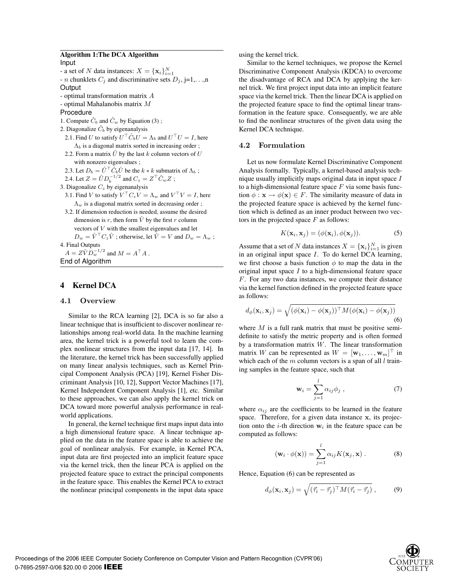#### **Algorithm 1:The DCA Algorithm** Input

- a set of N data instances:  $X = {\mathbf{x}_i}_{i=1}^N$ <br>- n chunklets  $C_i$  and discriminative sets - *n* chunklets  $C_j$  and discriminative sets  $D_j$ , j=1,...,n **Output** - optimal transformation matrix A - optimal Mahalanobis matrix M Procedure 1. Compute  $\hat{C}_b$  and  $\hat{C}_w$  by Equation (3); 2. Diagonalize  $\hat{C}_b$  by eigenanalysis 2.1. Find U to satisfy  $U^{\top} \hat{C}_b U = \Lambda_b$  and  $U^{\top} U = I$ , here  $\Lambda_b$  is a diagonal matrix sorted in increasing order; 2.2. Form a matrix  $\hat{U}$  by the last k column vectors of U with nonzero eigenvalues ; 2.3. Let  $D_b = \hat{U}^\top \tilde{C}_b \hat{U}$  be the  $k * k$  submatrix of  $\Lambda_b$ ; 2.4. Let  $Z = \hat{U} D_b^{-1/2}$  and  $C_z = Z^{\top} \hat{C}_w Z$ ; 3. Diagonalize  $C_z$  by eigenanalysis 3.1. Find V to satisfy  $V^{\top}C_zV = \Lambda_w$  and  $V^{\top}V = I$ , here  $\Lambda_w$  is a diagonal matrix sorted in decreasing order; 3.2. If dimension reduction is needed, assume the desired dimension is r, then form  $\hat{V}$  by the first r column vectors of  $V$  with the smallest eigenvalues and let  $D_w = \hat{V}^\top C_z \hat{V}$ ; otherwise, let  $\check{\hat{V}} = V$  and  $D_w = \Lambda_w$ ; 4. Final Outputs

 $A = Z\hat{V}D_w^{-1/2}$  and  $M = A^{\top}A$ . End of Algorithm

## **4 Kernel DCA**

## **4.1 Overview**

Similar to the RCA learning [2], DCA is so far also a linear technique that is insufficient to discover nonlinear relationships among real-world data. In the machine learning area, the kernel trick is a powerful tool to learn the complex nonlinear structures from the input data [17, 14]. In the literature, the kernel trick has been successfully applied on many linear analysis techniques, such as Kernel Principal Component Analysis (PCA) [19], Kernel Fisher Discriminant Analysis [10, 12], Support Vector Machines [17], Kernel Independent Component Analysis [1], etc. Similar to these approaches, we can also apply the kernel trick on DCA toward more powerful analysis performance in realworld applications.

In general, the kernel technique first maps input data into a high dimensional feature space. A linear technique applied on the data in the feature space is able to achieve the goal of nonlinear analysis. For example, in Kernel PCA, input data are first projected into an implicit feature space via the kernel trick, then the linear PCA is applied on the projected feature space to extract the principal components in the feature space. This enables the Kernel PCA to extract the nonlinear principal components in the input data space

using the kernel trick.

Similar to the kernel techniques, we propose the Kernel Discriminative Component Analysis (KDCA) to overcome the disadvantage of RCA and DCA by applying the kernel trick. We first project input data into an implicit feature space via the kernel trick. Then the linear DCA is applied on the projected feature space to find the optimal linear transformation in the feature space. Consequently, we are able to find the nonlinear structures of the given data using the Kernel DCA technique.

## **4.2 Formulation**

Let us now formulate Kernel Discriminative Component Analysis formally. Typically, a kernel-based analysis technique usually implicitly maps original data in input space I to a high-dimensional feature space  $F$  via some basis function  $\phi : \mathbf{x} \to \phi(\mathbf{x}) \in F$ . The similarity measure of data in the projected feature space is achieved by the kernel function which is defined as an inner product between two vectors in the projected space  $F$  as follows:

$$
K(\mathbf{x}_i, \mathbf{x}_j) = (\phi(\mathbf{x}_i), \phi(\mathbf{x}_j)).
$$
 (5)

Assume that a set of N data instances  $X = {\mathbf{x}_i}_{i=1}^N$  is given<br>in an original input space  $I$ . To do kernel DCA learning in an original input space  $I$ . To do kernel DCA learning, we first choose a basis function  $\phi$  to map the data in the original input space  $I$  to a high-dimensional feature space F. For any two data instances, we compute their distance via the kernel function defined in the projected feature space as follows:

$$
d_{\phi}(\mathbf{x}_i, \mathbf{x}_j) = \sqrt{(\phi(\mathbf{x}_i) - \phi(\mathbf{x}_j))^{\top} M(\phi(\mathbf{x}_i) - \phi(\mathbf{x}_j))}
$$
(6)

where  $M$  is a full rank matrix that must be positive semidefinite to satisfy the metric property and is often formed by a transformation matrix W. The linear transformation matrix W can be represented as  $W = [\mathbf{w}_1, \dots, \mathbf{w}_m]^\top$  in<br>which each of the m column vectors is a span of all l trainwhich each of the  $m$  column vectors is a span of all  $l$  training samples in the feature space, such that

$$
\mathbf{w}_i = \sum_{j=1}^l \alpha_{ij} \phi_j , \qquad (7)
$$

where  $\alpha_{ij}$  are the coefficients to be learned in the feature space. Therefore, for a given data instance **x**, its projection onto the *i*-th direction  $w_i$  in the feature space can be computed as follows:

$$
(\mathbf{w}_i \cdot \phi(\mathbf{x})) = \sum_{j=1}^l \alpha_{ij} K(\mathbf{x}_j, \mathbf{x}) .
$$
 (8)

Hence, Equation (6) can be represented as

$$
d_{\phi}(\mathbf{x}_i, \mathbf{x}_j) = \sqrt{(\vec{\tau}_i - \vec{\tau}_j)^\top M (\vec{\tau}_i - \vec{\tau}_j)},
$$
(9)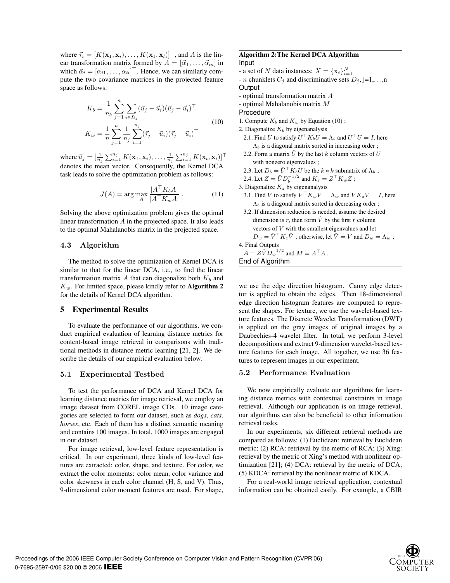where  $\vec{\tau}_i = [K(\mathbf{x}_1, \mathbf{x}_i), \dots, K(\mathbf{x}_1, \mathbf{x}_i)]^\top$ , and A is the linear transformation matrix formed by  $A = [\vec{\alpha}_1, \dots, \vec{\alpha}_m]$  in which  $\vec{\alpha}_i = [\alpha_{i1}, \dots, \alpha_{il}]^\top$ . Hence, we can similarly com-<br>pute the two covariance matrices in the projected feature pute the two covariance matrices in the projected feature space as follows:

$$
K_b = \frac{1}{n_b} \sum_{j=1}^n \sum_{i \in D_j} (\vec{u}_j - \vec{u}_i)(\vec{u}_j - \vec{u}_i)^\top
$$
  
\n
$$
K_w = \frac{1}{n} \sum_{j=1}^n \frac{1}{n_j} \sum_{i=1}^{n_j} (\vec{\tau}_j - \vec{u}_i)(\vec{\tau}_j - \vec{u}_i)^\top
$$
\n(10)

where  $\vec{u}_j = \left[\frac{1}{n_j} \sum_{i=1}^{n_j} K(\mathbf{x}_1, \mathbf{x}_i), \dots, \frac{1}{n_j} \sum_{i=1}^{n_j} K(\mathbf{x}_i, \mathbf{x}_i)\right]^{\top}$ denotes the mean vector. Consequently, the Kernel DCA task leads to solve the optimization problem as follows:

$$
J(A) = \arg\max_{A} \frac{|A^{\top} K_b A|}{|A^{\top} K_w A|} . \tag{11}
$$

Solving the above optimization problem gives the optimal linear transformation  $A$  in the projected space. It also leads to the optimal Mahalanobis matrix in the projected space.

### **4.3 Algorithm**

The method to solve the optimization of Kernel DCA is similar to that for the linear DCA, i.e., to find the linear transformation matrix  $A$  that can diagonalize both  $K_b$  and Kw. For limited space, please kindly refer to **Algorithm 2** for the details of Kernel DCA algorithm.

## **5 Experimental Results**

To evaluate the performance of our algorithms, we conduct empirical evaluation of learning distance metrics for content-based image retrieval in comparisons with traditional methods in distance metric learning [21, 2]. We describe the details of our empirical evaluation below.

### **5.1 Experimental Testbed**

To test the performance of DCA and Kernel DCA for learning distance metrics for image retrieval, we employ an image dataset from COREL image CDs. 10 image categories are selected to form our dataset, such as *dogs*, *cats*, *horses*, etc. Each of them has a distinct semantic meaning and contains 100 images. In total, 1000 images are engaged in our dataset.

For image retrieval, low-level feature representation is critical. In our experiment, three kinds of low-level features are extracted: color, shape, and texture. For color, we extract the color moments: color mean, color variance and color skewness in each color channel (H, S, and V). Thus, 9-dimensional color moment features are used. For shape,

#### **Algorithm 2:The Kernel DCA Algorithm** Input

- a set of N data instances:  $X = {\mathbf{x}_i}_{i=1}^N$ <br>- n chunklets  $C_i$  and discriminative sets

- *n* chunklets  $C_j$  and discriminative sets  $D_j$ , j=1,...,n **Output**
- optimal transformation matrix A
- optimal Mahalanobis matrix  $\cal M$

### Procedure

- 1. Compute  $K_b$  and  $K_w$  by Equation (10);
- 2. Diagonalize  $K_b$  by eigenanalysis
- 2.1. Find U to satisfy  $U^{\top} K_b U = \Lambda_b$  and  $U^{\top} U = I$ , here  $\Lambda_b$  is a diagonal matrix sorted in increasing order;
- 2.2. Form a matrix  $\hat{U}$  by the last k column vectors of U with nonzero eigenvalues ;

2.3. Let 
$$
D_b = \hat{U}^\top K_b \hat{U}
$$
 be the  $k * k$  submatrix of  $\Lambda_b$ ;

2.4. Let 
$$
Z = \hat{U} D_b^{-1/2}
$$
 and  $K_z = Z^{\top} K_w Z$  ;

3. Diagonalize  $K_z$  by eigenanalysis

- 3.1. Find V to satisfy  $V^{\top} K_w V = \Lambda_w$  and  $V K_z V = I$ , here  $\Lambda_b$  is a diagonal matrix sorted in decreasing order;
- 3.2. If dimension reduction is needed, assume the desired dimension is r, then form  $\hat{V}$  by the first r column vectors of  $V$  with the smallest eigenvalues and let  $D_w = \hat{V}^\top K_z \hat{V}$ ; otherwise, let  $\hat{V} = V$  and  $D_w = \Lambda_w$ ; 4. Final Outputs

$$
A = Z\hat{V}D_w^{-1/2} \text{ and } M = A^{\top}A.
$$
  
End of Algorithm

we use the edge direction histogram. Canny edge detector is applied to obtain the edges. Then 18-dimensional edge direction histogram features are computed to represent the shapes. For texture, we use the wavelet-based texture features. The Discrete Wavelet Transformation (DWT) is applied on the gray images of original images by a Daubechies-4 wavelet filter. In total, we perform 3-level decompositions and extract 9-dimension wavelet-based texture features for each image. All together, we use 36 features to represent images in our experiment.

## **5.2 Performance Evaluation**

We now empirically evaluate our algorithms for learning distance metrics with contextual constraints in image retrieval. Although our application is on image retrieval, our algoirthms can also be beneficial to other information retrieval tasks.

In our experiments, six different retrieval methods are compared as follows: (1) Euclidean: retrieval by Euclidean metric; (2) RCA: retrieval by the metric of RCA; (3) Xing: retrieval by the metric of Xing's method with nonlinear optimization [21]; (4) DCA: retrieval by the metric of DCA; (5) KDCA: retrieval by the nonlinear metric of KDCA.

For a real-world image retrieval application, contextual information can be obtained easily. For example, a CBIR

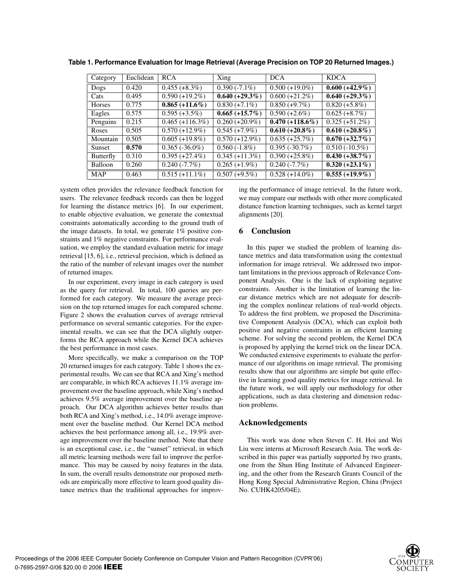| Category       | Euclidean | <b>RCA</b>        | Xing              | <b>DCA</b>         | <b>KDCA</b>                 |
|----------------|-----------|-------------------|-------------------|--------------------|-----------------------------|
| Dogs           | 0.420     | $0.455 (+8.3\%)$  | $0.390(-7.1\%)$   | $0.500 (+19.0\%)$  | $0.600 (+42.9\%)$           |
| Cats           | 0.495     | $0.590 (+19.2\%)$ | $0.640 (+29.3\%)$ | $0.600 (+21.2\%)$  | $0.640 (+29.3\%)$           |
| Horses         | 0.775     | $0.865 (+11.6\%)$ | $0.830 (+7.1\%)$  | $0.850 (+9.7%)$    | $\overline{0.820 (+5.8\%)}$ |
| Eagles         | 0.575     | $0.595 (+3.5\%)$  | $0.665 (+15.7\%)$ | $0.590 (+2.6\%)$   | $0.625 (+8.7%)$             |
| Penguins       | 0.215     | $0.465 (+116.3%)$ | $0.260 (+20.9\%)$ | $0.470 (+118.6\%)$ | $0.325 (+51.2\%)$           |
| Roses          | 0.505     | $0.570 (+12.9\%)$ | $0.545 (+7.9\%)$  | $0.610 (+20.8\%)$  | $0.610 (+20.8\%)$           |
| Mountain       | 0.505     | $0.605 (+19.8\%)$ | $0.570 (+12.9\%)$ | $0.635 (+25.7%)$   | $0.670 (+32.7\%)$           |
| Sunset         | 0.570     | $0.365 (-36.0\%)$ | $0.560(-1.8\%)$   | $0.395 (-30.7\%)$  | $0.510(-10.5\%)$            |
| Butterfly      | 0.310     | $0.395 (+27.4%)$  | $0.345 (+11.3%)$  | $0.390 (+25.8%)$   | $0.430 (+38.7\%)$           |
| <b>Balloon</b> | 0.260     | $0.240(-7.7%)$    | $0.265 (+1.9\%)$  | $0.240(-7.7%)$     | $0.320 (+23.1\%)$           |
| <b>MAP</b>     | 0.463     | $0.515 (+11.1\%)$ | $0.507 (+9.5%)$   | $0.528 (+14.0\%)$  | $0.555 (+19.9\%)$           |

**Table 1. Performance Evaluation for Image Retrieval (Average Precision on TOP 20 Returned Images.)**

system often provides the relevance feedback function for users. The relevance feedback records can then be logged for learning the distance metrics [6]. In our experiment, to enable objective evaluation, we generate the contextual constraints automatically according to the ground truth of the image datasets. In total, we generate 1% positive constraints and 1% negative constraints. For performance evaluation, we employ the standard evaluation metric for image retrieval [15, 6], i.e., retrieval precision, which is defined as the ratio of the number of relevant images over the number of returned images.

In our experiment, every image in each category is used as the query for retrieval. In total, 100 queries are performed for each category. We measure the average precision on the top returned images for each compared scheme. Figure 2 shows the evaluation curves of average retrieval performance on several semantic categories. For the experimental results, we can see that the DCA slightly outperforms the RCA approach while the Kernel DCA achieves the best performance in most cases.

More specifically, we make a comparison on the TOP 20 returned images for each category. Table 1 shows the experimental results. We can see that RCA and Xing's method are comparable, in which RCA achieves 11.1% average improvement over the baseline approach, while Xing's method achieves 9.5% average improvement over the baseline approach. Our DCA algorithm achieves better results than both RCA and Xing's method, i.e., 14.0% average improvement over the baseline method. Our Kernel DCA method achieves the best performance among all, i.e., 19.9% average improvement over the baseline method. Note that there is an exceptional case, i.e., the "sunset" retrieval, in which all metric learning methods were fail to improve the performance. This may be caused by noisy features in the data. In sum, the overall results demonstrate our proposed methods are empirically more effective to learn good quality distance metrics than the traditional approaches for improving the performance of image retrieval. In the future work, we may compare our methods with other more complicated distance function learning techniques, such as kernel target alignments [20].

# **6 Conclusion**

In this paper we studied the problem of learning distance metrics and data transformation using the contextual information for image retrieval. We addressed two important limitations in the previous approach of Relevance Component Analysis. One is the lack of exploiting negative constraints. Another is the limitation of learning the linear distance metrics which are not adequate for describing the complex nonlinear relations of real-world objects. To address the first problem, we proposed the Discriminative Component Analysis (DCA), which can exploit both positive and negative constraints in an efficient learning scheme. For solving the second problem, the Kernel DCA is proposed by applying the kernel trick on the linear DCA. We conducted extensive experiments to evaluate the performance of our algorithms on image retrieval. The promising results show that our algorithms are simple but quite effective in learning good quality metrics for image retrieval. In the future work, we will apply our methodology for other applications, such as data clustering and dimension reduction problems.

# **Acknowledgements**

This work was done when Steven C. H. Hoi and Wei Liu were interns at Microsoft Research Asia. The work described in this paper was partially supported by two grants, one from the Shun Hing Institute of Advanced Engineering, and the other from the Research Grants Council of the Hong Kong Special Administrative Region, China (Project No. CUHK4205/04E).